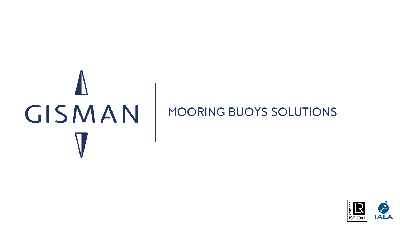# GISMAN

# **MOORING BUOYS SOLUTIONS**

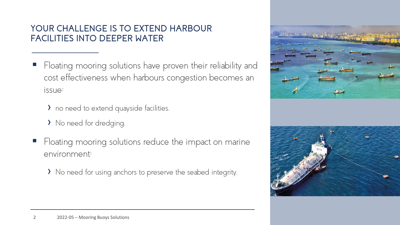# **YOUR CHALLENGE IS TO EXTEND HARBOUR FACILITIES INTO DEEPER WATER**

- Floating mooring solutions have proven their reliability and cost effectiveness when harbours congestion becomes an issue:
	- > no need to extend quayside facilities.
	- › No need for dredging.
- Floating mooring solutions reduce the impact on marine environment:
	- › No need for using anchors to preserve the seabed integrity.

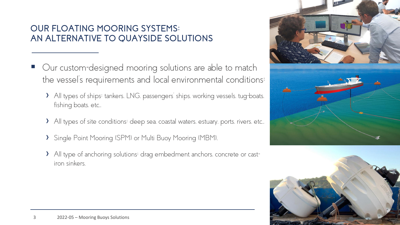# **OUR FLOATING MOORING SYSTEMS: AN ALTERNATIVE TO QUAYSIDE SOLUTIONS**

- Our custom-designed mooring solutions are able to match the vessel's requirements and local environmental conditions:
	- > All types of ships: tankers, LNG, passengers' ships, working vessels, tug-boats, fishing boats. etc.,
	- > All types of site conditions: deep sea. coastal waters. estuary. ports. rivers. etc..
	- › Single Point Mooring (SPM) or Multi Buoy Mooring (MBM),
	- › All type of anchoring solutions: drag embedment anchors, concrete or castiron sinkers.



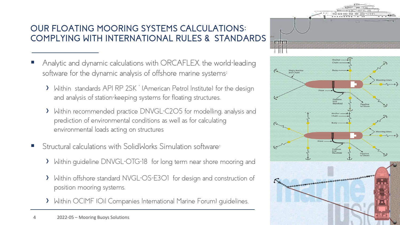# **OUR FLOATING MOORING SYSTEMS CALCULATIONS: COMPLYING WITH INTERNATIONAL RULES & STANDARDS**

- Analytic and dynamic calculations with ORCAFLEX, the world-leading software for the dynamic analysis of offshore marine systems:
	- › Within standards API RP 2SK " (American Petrol Institute) for the design and analysis of station-keeping systems for floating structures,
	- > Within recommended practice DNVGL-C2O5 for modelling. analysis and prediction of environmental conditions as well as for calculating environmental loads acting on structures
- Structural calculations with SolidWorks Simulation software:
	- › Within guideline DNVGL-OTG-18 for long term near shore mooring and
	- › Within offshore standard NVGL-OS-E301 for design and construction of position mooring systems,
	- › Within OCIMF (Oil Companies International Marine Forum) guidelines.

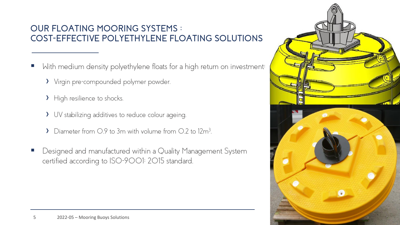# **OUR FLOATING MOORING SYSTEMS : COST-EFFECTIVE POLYETHYLENE FLOATING SOLUTIONS**

- With medium density polyethylene floats for a high return on investment:
	- › Virgin pre-compounded polymer powder,
	- > High resilience to shocks.
	- > UV stabilizing additives to reduce colour ageing.
	- › Diameter from 0.9 to 3m with volume from 0.2 to 12m<sup>3</sup> .
- Designed and manufactured within a Quality Management System certified according to ISO-9001: 2015 standard.

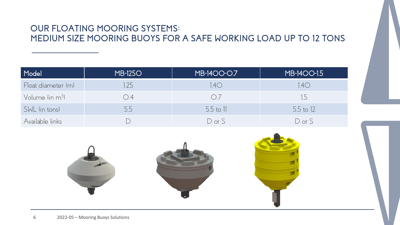### **OUR FLOATING MOORING SYSTEMS: MEDIUM SIZE MOORING BUOYS FOR A SAFE WORKING LOAD UP TO 12 TONS**

| Model              | <b>MB-1250</b> | <b>MB-1400-0.7</b> | MB-1400-1.5 |
|--------------------|----------------|--------------------|-------------|
| Float diameter (m) | 1.25           | 1.4O               | 1.40        |
| Volume $\lim m^3$  | O.4            | O7                 | 1.5         |
| SWL (in tons)      | 5.5            | 5.5 to 11          | 5.5 to 12   |
| Available links    |                | $D$ or $S$         | $D$ or $S$  |

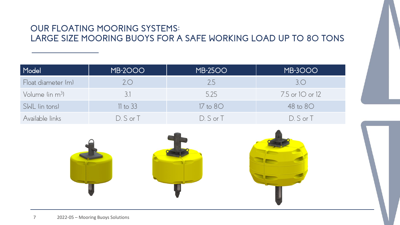# **OUR FLOATING MOORING SYSTEMS:** LARGE SIZE MOORING BUOYS FOR A SAFE WORKING LOAD UP TO 80 TONS

| Model              | <b>MB-2000</b> | <b>MB-2500</b> | MB-3000           |
|--------------------|----------------|----------------|-------------------|
| Float diameter (m) | $2^{\circ}$    | 2.5            | 3.0               |
| Volume $(in m3)$   | 3.1            | 5.25           | $7.5$ or 10 or 12 |
| SWL (in tons)      | $11$ to $33$   | $17$ to $80$   | 48 to 80          |
| Available links    | $D. S$ or $T$  | $D.S$ or $T$   | $D.S$ or $T$      |

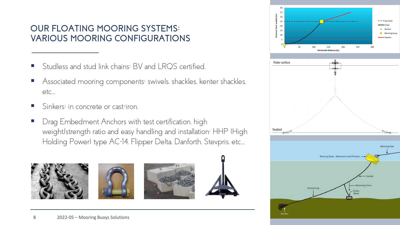## **OUR FLOATING MOORING SYSTEMS: VARIOUS MOORING CONFIGURATIONS**

- Studless and stud link chains: BV and LRQS certified.
- Associated mooring components: swivels, shackles, kenter shackles, etc...
- Sinkers: in concrete or cast-iron.
- Drag Embedment Anchors with test certification. high weight/strength ratio and easy handling and installation: HHP (High Holding Power) type AC-14, Flipper Delta, Danforth, Stevpris, etc…